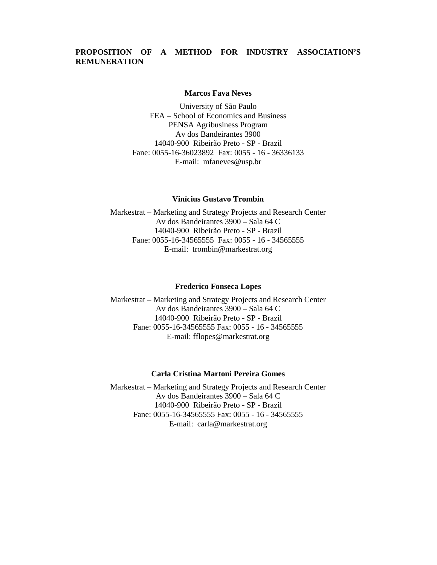# **PROPOSITION OF A METHOD FOR INDUSTRY ASSOCIATION'S REMUNERATION**

#### **Marcos Fava Neves**

University of São Paulo FEA – School of Economics and Business PENSA Agribusiness Program Av dos Bandeirantes 3900 14040-900 Ribeirão Preto - SP - Brazil Fane: 0055-16-36023892 Fax: 0055 - 16 - 36336133 E-mail: mfaneves@usp.br

#### **Vinícius Gustavo Trombin**

Markestrat – Marketing and Strategy Projects and Research Center Av dos Bandeirantes 3900 – Sala 64 C 14040-900 Ribeirão Preto - SP - Brazil Fane: 0055-16-34565555 Fax: 0055 - 16 - 34565555 E-mail: trombin@markestrat.org

#### **Frederico Fonseca Lopes**

Markestrat – Marketing and Strategy Projects and Research Center Av dos Bandeirantes 3900 – Sala 64 C 14040-900 Ribeirão Preto - SP - Brazil Fane: 0055-16-34565555 Fax: 0055 - 16 - 34565555 E-mail: fflopes@markestrat.org

#### **Carla Cristina Martoni Pereira Gomes**

Markestrat – Marketing and Strategy Projects and Research Center Av dos Bandeirantes 3900 – Sala 64 C 14040-900 Ribeirão Preto - SP - Brazil Fane: 0055-16-34565555 Fax: 0055 - 16 - 34565555 E-mail: carla@markestrat.org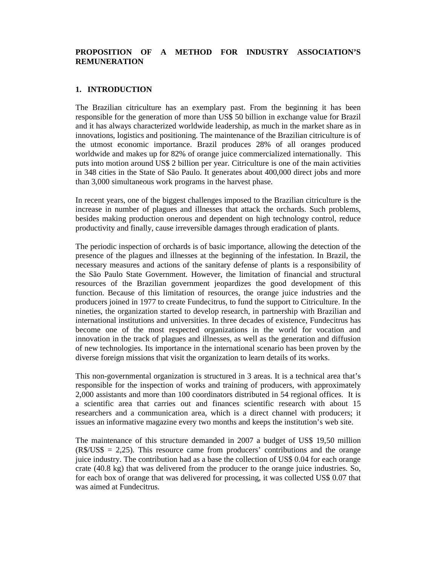## **PROPOSITION OF A METHOD FOR INDUSTRY ASSOCIATION'S REMUNERATION**

## **1. INTRODUCTION**

The Brazilian citriculture has an exemplary past. From the beginning it has been responsible for the generation of more than US\$ 50 billion in exchange value for Brazil and it has always characterized worldwide leadership, as much in the market share as in innovations, logistics and positioning. The maintenance of the Brazilian citriculture is of the utmost economic importance. Brazil produces 28% of all oranges produced worldwide and makes up for 82% of orange juice commercialized internationally. This puts into motion around US\$ 2 billion per year. Citriculture is one of the main activities in 348 cities in the State of São Paulo. It generates about 400,000 direct jobs and more than 3,000 simultaneous work programs in the harvest phase.

In recent years, one of the biggest challenges imposed to the Brazilian citriculture is the increase in number of plagues and illnesses that attack the orchards. Such problems, besides making production onerous and dependent on high technology control, reduce productivity and finally, cause irreversible damages through eradication of plants.

The periodic inspection of orchards is of basic importance, allowing the detection of the presence of the plagues and illnesses at the beginning of the infestation. In Brazil, the necessary measures and actions of the sanitary defense of plants is a responsibility of the São Paulo State Government. However, the limitation of financial and structural resources of the Brazilian government jeopardizes the good development of this function. Because of this limitation of resources, the orange juice industries and the producers joined in 1977 to create Fundecitrus, to fund the support to Citriculture. In the nineties, the organization started to develop research, in partnership with Brazilian and international institutions and universities. In three decades of existence, Fundecitrus has become one of the most respected organizations in the world for vocation and innovation in the track of plagues and illnesses, as well as the generation and diffusion of new technologies. Its importance in the international scenario has been proven by the diverse foreign missions that visit the organization to learn details of its works.

This non-governmental organization is structured in 3 areas. It is a technical area that's responsible for the inspection of works and training of producers, with approximately 2,000 assistants and more than 100 coordinators distributed in 54 regional offices. It is a scientific area that carries out and finances scientific research with about 15 researchers and a communication area, which is a direct channel with producers; it issues an informative magazine every two months and keeps the institution's web site.

The maintenance of this structure demanded in 2007 a budget of US\$ 19,50 million  $(R$/US$ = 2,25)$ . This resource came from producers' contributions and the orange juice industry. The contribution had as a base the collection of US\$ 0.04 for each orange crate (40.8 kg) that was delivered from the producer to the orange juice industries. So, for each box of orange that was delivered for processing, it was collected US\$ 0.07 that was aimed at Fundecitrus.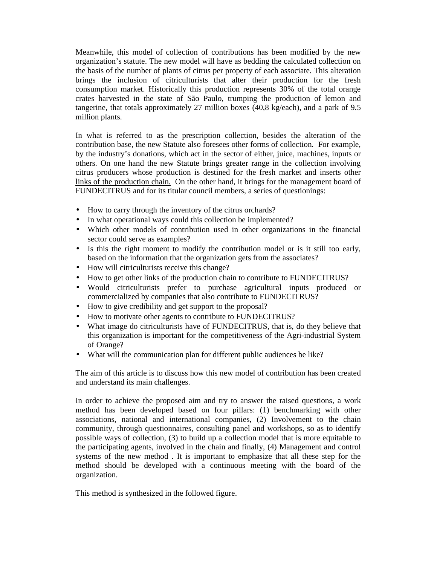Meanwhile, this model of collection of contributions has been modified by the new organization's statute. The new model will have as bedding the calculated collection on the basis of the number of plants of citrus per property of each associate. This alteration brings the inclusion of citriculturists that alter their production for the fresh consumption market. Historically this production represents 30% of the total orange crates harvested in the state of São Paulo, trumping the production of lemon and tangerine, that totals approximately 27 million boxes (40,8 kg/each), and a park of 9.5 million plants.

In what is referred to as the prescription collection, besides the alteration of the contribution base, the new Statute also foresees other forms of collection. For example, by the industry's donations, which act in the sector of either, juice, machines, inputs or others. On one hand the new Statute brings greater range in the collection involving citrus producers whose production is destined for the fresh market and inserts other links of the production chain. On the other hand, it brings for the management board of FUNDECITRUS and for its titular council members, a series of questionings:

- How to carry through the inventory of the citrus orchards?
- In what operational ways could this collection be implemented?
- Which other models of contribution used in other organizations in the financial sector could serve as examples?
- Is this the right moment to modify the contribution model or is it still too early, based on the information that the organization gets from the associates?
- How will citriculturists receive this change?
- How to get other links of the production chain to contribute to FUNDECITRUS?
- Would citriculturists prefer to purchase agricultural inputs produced or commercialized by companies that also contribute to FUNDECITRUS?
- How to give credibility and get support to the proposal?
- How to motivate other agents to contribute to FUNDECITRUS?
- What image do citriculturists have of FUNDECITRUS, that is, do they believe that this organization is important for the competitiveness of the Agri-industrial System of Orange?
- What will the communication plan for different public audiences be like?

The aim of this article is to discuss how this new model of contribution has been created and understand its main challenges.

In order to achieve the proposed aim and try to answer the raised questions, a work method has been developed based on four pillars: (1) benchmarking with other associations, national and international companies, (2) Involvement to the chain community, through questionnaires, consulting panel and workshops, so as to identify possible ways of collection, (3) to build up a collection model that is more equitable to the participating agents, involved in the chain and finally, (4) Management and control systems of the new method . It is important to emphasize that all these step for the method should be developed with a continuous meeting with the board of the organization.

This method is synthesized in the followed figure.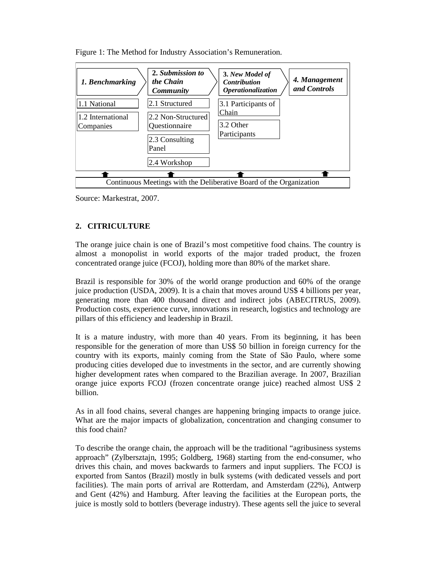

Figure 1: The Method for Industry Association's Remuneration.

Source: Markestrat, 2007.

# **2. CITRICULTURE**

The orange juice chain is one of Brazil's most competitive food chains. The country is almost a monopolist in world exports of the major traded product, the frozen concentrated orange juice (FCOJ), holding more than 80% of the market share.

Brazil is responsible for 30% of the world orange production and 60% of the orange juice production (USDA, 2009). It is a chain that moves around US\$ 4 billions per year, generating more than 400 thousand direct and indirect jobs (ABECITRUS, 2009). Production costs, experience curve, innovations in research, logistics and technology are pillars of this efficiency and leadership in Brazil.

It is a mature industry, with more than 40 years. From its beginning, it has been responsible for the generation of more than US\$ 50 billion in foreign currency for the country with its exports, mainly coming from the State of São Paulo, where some producing cities developed due to investments in the sector, and are currently showing higher development rates when compared to the Brazilian average. In 2007, Brazilian orange juice exports FCOJ (frozen concentrate orange juice) reached almost US\$ 2 billion.

As in all food chains, several changes are happening bringing impacts to orange juice. What are the major impacts of globalization, concentration and changing consumer to this food chain?

To describe the orange chain, the approach will be the traditional "agribusiness systems approach" (Zylbersztajn, 1995; Goldberg, 1968) starting from the end-consumer, who drives this chain, and moves backwards to farmers and input suppliers. The FCOJ is exported from Santos (Brazil) mostly in bulk systems (with dedicated vessels and port facilities). The main ports of arrival are Rotterdam, and Amsterdam (22%), Antwerp and Gent (42%) and Hamburg. After leaving the facilities at the European ports, the juice is mostly sold to bottlers (beverage industry). These agents sell the juice to several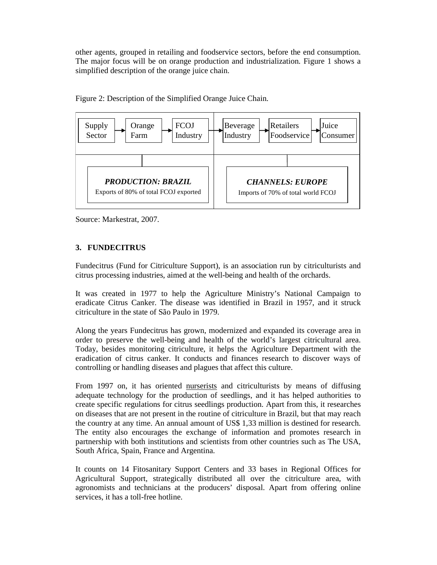other agents, grouped in retailing and foodservice sectors, before the end consumption. The major focus will be on orange production and industrialization. Figure 1 shows a simplified description of the orange juice chain.



Figure 2: Description of the Simplified Orange Juice Chain.

Source: Markestrat, 2007.

# **3. FUNDECITRUS**

Fundecitrus (Fund for Citriculture Support), is an association run by citriculturists and citrus processing industries, aimed at the well-being and health of the orchards.

It was created in 1977 to help the Agriculture Ministry's National Campaign to eradicate Citrus Canker. The disease was identified in Brazil in 1957, and it struck citriculture in the state of São Paulo in 1979.

Along the years Fundecitrus has grown, modernized and expanded its coverage area in order to preserve the well-being and health of the world's largest citricultural area. Today, besides monitoring citriculture, it helps the Agriculture Department with the eradication of citrus canker. It conducts and finances research to discover ways of controlling or handling diseases and plagues that affect this culture.

From 1997 on, it has oriented nurserists and citriculturists by means of diffusing adequate technology for the production of seedlings, and it has helped authorities to create specific regulations for citrus seedlings production. Apart from this, it researches on diseases that are not present in the routine of citriculture in Brazil, but that may reach the country at any time. An annual amount of US\$ 1,33 million is destined for research. The entity also encourages the exchange of information and promotes research in partnership with both institutions and scientists from other countries such as The USA, South Africa, Spain, France and Argentina.

It counts on 14 Fitosanitary Support Centers and 33 bases in Regional Offices for Agricultural Support, strategically distributed all over the citriculture area, with agronomists and technicians at the producers' disposal. Apart from offering online services, it has a toll-free hotline.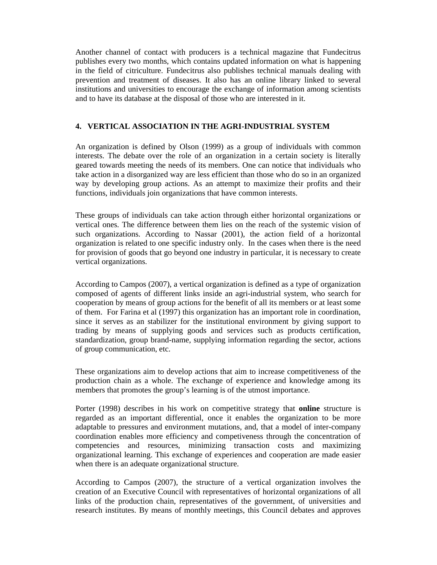Another channel of contact with producers is a technical magazine that Fundecitrus publishes every two months, which contains updated information on what is happening in the field of citriculture. Fundecitrus also publishes technical manuals dealing with prevention and treatment of diseases. It also has an online library linked to several institutions and universities to encourage the exchange of information among scientists and to have its database at the disposal of those who are interested in it.

# **4. VERTICAL ASSOCIATION IN THE AGRI-INDUSTRIAL SYSTEM**

An organization is defined by Olson (1999) as a group of individuals with common interests. The debate over the role of an organization in a certain society is literally geared towards meeting the needs of its members. One can notice that individuals who take action in a disorganized way are less efficient than those who do so in an organized way by developing group actions. As an attempt to maximize their profits and their functions, individuals join organizations that have common interests.

These groups of individuals can take action through either horizontal organizations or vertical ones. The difference between them lies on the reach of the systemic vision of such organizations. According to Nassar (2001), the action field of a horizontal organization is related to one specific industry only. In the cases when there is the need for provision of goods that go beyond one industry in particular, it is necessary to create vertical organizations.

According to Campos (2007), a vertical organization is defined as a type of organization composed of agents of different links inside an agri-industrial system, who search for cooperation by means of group actions for the benefit of all its members or at least some of them. For Farina et al (1997) this organization has an important role in coordination, since it serves as an stabilizer for the institutional environment by giving support to trading by means of supplying goods and services such as products certification, standardization, group brand-name, supplying information regarding the sector, actions of group communication, etc.

These organizations aim to develop actions that aim to increase competitiveness of the production chain as a whole. The exchange of experience and knowledge among its members that promotes the group's learning is of the utmost importance.

Porter (1998) describes in his work on competitive strategy that **online** structure is regarded as an important differential, once it enables the organization to be more adaptable to pressures and environment mutations, and, that a model of inter-company coordination enables more efficiency and competiveness through the concentration of competencies and resources, minimizing transaction costs and maximizing organizational learning. This exchange of experiences and cooperation are made easier when there is an adequate organizational structure.

According to Campos (2007), the structure of a vertical organization involves the creation of an Executive Council with representatives of horizontal organizations of all links of the production chain, representatives of the government, of universities and research institutes. By means of monthly meetings, this Council debates and approves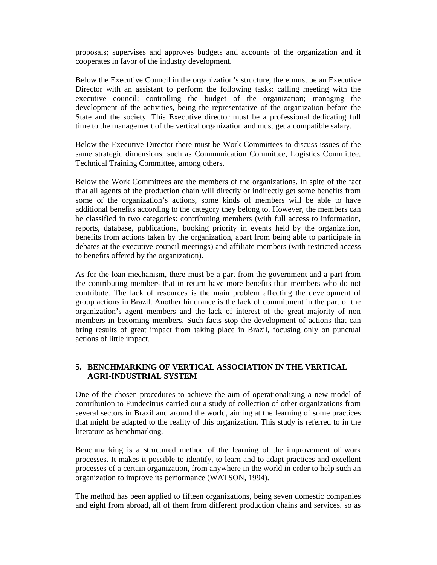proposals; supervises and approves budgets and accounts of the organization and it cooperates in favor of the industry development.

Below the Executive Council in the organization's structure, there must be an Executive Director with an assistant to perform the following tasks: calling meeting with the executive council; controlling the budget of the organization; managing the development of the activities, being the representative of the organization before the State and the society. This Executive director must be a professional dedicating full time to the management of the vertical organization and must get a compatible salary.

Below the Executive Director there must be Work Committees to discuss issues of the same strategic dimensions, such as Communication Committee, Logistics Committee, Technical Training Committee, among others.

Below the Work Committees are the members of the organizations. In spite of the fact that all agents of the production chain will directly or indirectly get some benefits from some of the organization's actions, some kinds of members will be able to have additional benefits according to the category they belong to. However, the members can be classified in two categories: contributing members (with full access to information, reports, database, publications, booking priority in events held by the organization, benefits from actions taken by the organization, apart from being able to participate in debates at the executive council meetings) and affiliate members (with restricted access to benefits offered by the organization).

As for the loan mechanism, there must be a part from the government and a part from the contributing members that in return have more benefits than members who do not contribute. The lack of resources is the main problem affecting the development of group actions in Brazil. Another hindrance is the lack of commitment in the part of the organization's agent members and the lack of interest of the great majority of non members in becoming members. Such facts stop the development of actions that can bring results of great impact from taking place in Brazil, focusing only on punctual actions of little impact.

## **5. BENCHMARKING OF VERTICAL ASSOCIATION IN THE VERTICAL AGRI-INDUSTRIAL SYSTEM**

One of the chosen procedures to achieve the aim of operationalizing a new model of contribution to Fundecitrus carried out a study of collection of other organizations from several sectors in Brazil and around the world, aiming at the learning of some practices that might be adapted to the reality of this organization. This study is referred to in the literature as benchmarking*.* 

Benchmarking is a structured method of the learning of the improvement of work processes. It makes it possible to identify, to learn and to adapt practices and excellent processes of a certain organization, from anywhere in the world in order to help such an organization to improve its performance (WATSON, 1994).

The method has been applied to fifteen organizations, being seven domestic companies and eight from abroad, all of them from different production chains and services, so as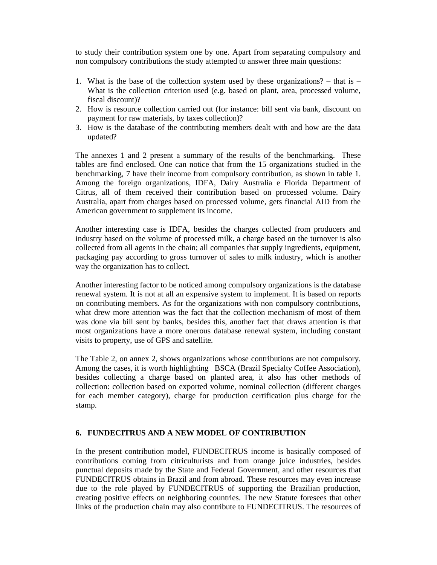to study their contribution system one by one. Apart from separating compulsory and non compulsory contributions the study attempted to answer three main questions:

- 1. What is the base of the collection system used by these organizations? that is What is the collection criterion used (e.g. based on plant, area, processed volume, fiscal discount)?
- 2. How is resource collection carried out (for instance: bill sent via bank, discount on payment for raw materials, by taxes collection)?
- 3. How is the database of the contributing members dealt with and how are the data updated?

The annexes 1 and 2 present a summary of the results of the benchmarking. These tables are find enclosed. One can notice that from the 15 organizations studied in the benchmarking, 7 have their income from compulsory contribution, as shown in table 1. Among the foreign organizations, IDFA, Dairy Australia e Florida Department of Citrus, all of them received their contribution based on processed volume. Dairy Australia, apart from charges based on processed volume, gets financial AID from the American government to supplement its income.

Another interesting case is IDFA, besides the charges collected from producers and industry based on the volume of processed milk, a charge based on the turnover is also collected from all agents in the chain; all companies that supply ingredients, equipment, packaging pay according to gross turnover of sales to milk industry, which is another way the organization has to collect.

Another interesting factor to be noticed among compulsory organizations is the database renewal system. It is not at all an expensive system to implement. It is based on reports on contributing members. As for the organizations with non compulsory contributions, what drew more attention was the fact that the collection mechanism of most of them was done via bill sent by banks, besides this, another fact that draws attention is that most organizations have a more onerous database renewal system, including constant visits to property, use of GPS and satellite.

The Table 2, on annex 2, shows organizations whose contributions are not compulsory. Among the cases, it is worth highlighting BSCA (Brazil Specialty Coffee Association), besides collecting a charge based on planted area, it also has other methods of collection: collection based on exported volume, nominal collection (different charges for each member category), charge for production certification plus charge for the stamp.

## **6. FUNDECITRUS AND A NEW MODEL OF CONTRIBUTION**

In the present contribution model, FUNDECITRUS income is basically composed of contributions coming from citriculturists and from orange juice industries, besides punctual deposits made by the State and Federal Government, and other resources that FUNDECITRUS obtains in Brazil and from abroad. These resources may even increase due to the role played by FUNDECITRUS of supporting the Brazilian production, creating positive effects on neighboring countries. The new Statute foresees that other links of the production chain may also contribute to FUNDECITRUS. The resources of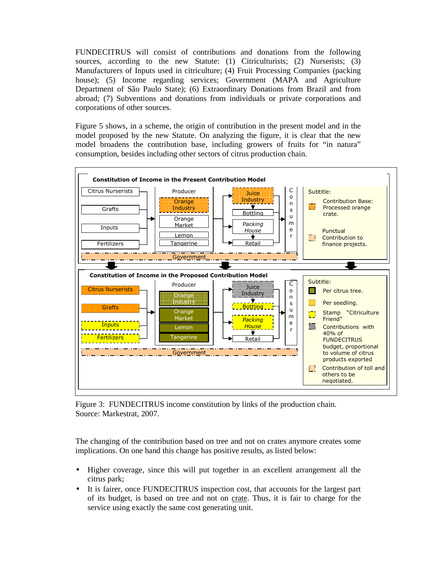FUNDECITRUS will consist of contributions and donations from the following sources, according to the new Statute: (1) Citriculturists; (2) Nurserists; (3) Manufacturers of Inputs used in citriculture; (4) Fruit Processing Companies (packing house); (5) Income regarding services; Government (MAPA and Agriculture Department of São Paulo State); (6) Extraordinary Donations from Brazil and from abroad; (7) Subventions and donations from individuals or private corporations and corporations of other sources.

Figure 5 shows, in a scheme, the origin of contribution in the present model and in the model proposed by the new Statute. On analyzing the figure, it is clear that the new model broadens the contribution base, including growers of fruits for "in natura" consumption, besides including other sectors of citrus production chain.



Figure 3: FUNDECITRUS income constitution by links of the production chain. Source: Markestrat, 2007.

The changing of the contribution based on tree and not on crates anymore creates some implications. On one hand this change has positive results, as listed below:

- Higher coverage, since this will put together in an excellent arrangement all the citrus park;
- It is fairer, once FUNDECITRUS inspection cost, that accounts for the largest part of its budget, is based on tree and not on crate. Thus, it is fair to charge for the service using exactly the same cost generating unit.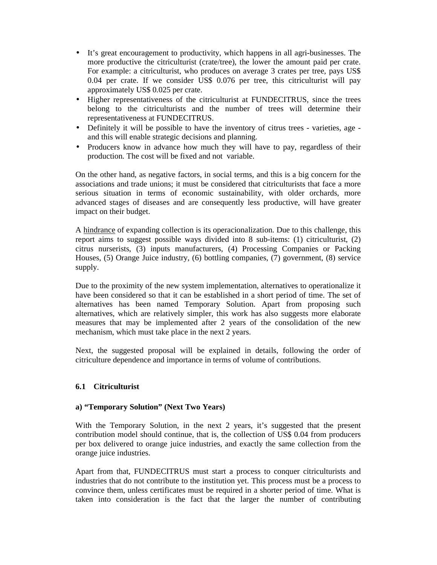- It's great encouragement to productivity, which happens in all agri-businesses. The more productive the citriculturist (crate/tree), the lower the amount paid per crate. For example: a citriculturist, who produces on average 3 crates per tree, pays US\$ 0.04 per crate. If we consider US\$ 0.076 per tree, this citriculturist will pay approximately US\$ 0.025 per crate.
- Higher representativeness of the citriculturist at FUNDECITRUS, since the trees belong to the citriculturists and the number of trees will determine their representativeness at FUNDECITRUS.
- Definitely it will be possible to have the inventory of citrus trees varieties, age and this will enable strategic decisions and planning.
- Producers know in advance how much they will have to pay, regardless of their production. The cost will be fixed and not variable.

On the other hand, as negative factors, in social terms, and this is a big concern for the associations and trade unions; it must be considered that citriculturists that face a more serious situation in terms of economic sustainability, with older orchards, more advanced stages of diseases and are consequently less productive, will have greater impact on their budget.

A hindrance of expanding collection is its operacionalization. Due to this challenge, this report aims to suggest possible ways divided into 8 sub-items: (1) citriculturist, (2) citrus nurserists, (3) inputs manufacturers, (4) Processing Companies or Packing Houses, (5) Orange Juice industry, (6) bottling companies, (7) government, (8) service supply.

Due to the proximity of the new system implementation, alternatives to operationalize it have been considered so that it can be established in a short period of time. The set of alternatives has been named Temporary Solution. Apart from proposing such alternatives, which are relatively simpler, this work has also suggests more elaborate measures that may be implemented after 2 years of the consolidation of the new mechanism, which must take place in the next 2 years.

Next, the suggested proposal will be explained in details, following the order of citriculture dependence and importance in terms of volume of contributions.

# **6.1 Citriculturist**

## **a) "Temporary Solution" (Next Two Years)**

With the Temporary Solution, in the next 2 years, it's suggested that the present contribution model should continue, that is, the collection of US\$ 0.04 from producers per box delivered to orange juice industries, and exactly the same collection from the orange juice industries.

Apart from that, FUNDECITRUS must start a process to conquer citriculturists and industries that do not contribute to the institution yet. This process must be a process to convince them, unless certificates must be required in a shorter period of time. What is taken into consideration is the fact that the larger the number of contributing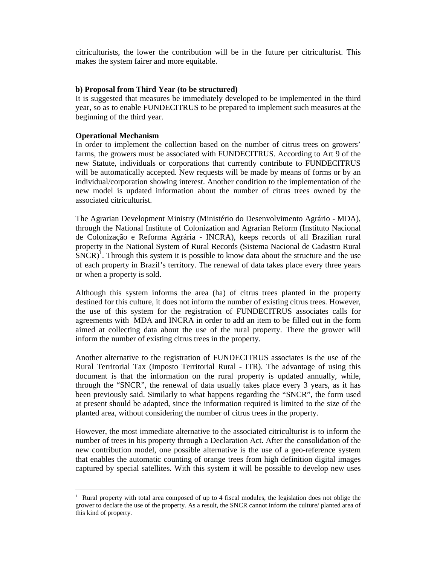citriculturists, the lower the contribution will be in the future per citriculturist. This makes the system fairer and more equitable.

#### **b) Proposal from Third Year (to be structured)**

It is suggested that measures be immediately developed to be implemented in the third year, so as to enable FUNDECITRUS to be prepared to implement such measures at the beginning of the third year.

### **Operational Mechanism**

In order to implement the collection based on the number of citrus trees on growers' farms, the growers must be associated with FUNDECITRUS. According to Art 9 of the new Statute, individuals or corporations that currently contribute to FUNDECITRUS will be automatically accepted. New requests will be made by means of forms or by an individual/corporation showing interest. Another condition to the implementation of the new model is updated information about the number of citrus trees owned by the associated citriculturist.

The Agrarian Development Ministry (Ministério do Desenvolvimento Agrário - MDA), through the National Institute of Colonization and Agrarian Reform (Instituto Nacional de Colonização e Reforma Agrária - INCRA), keeps records of all Brazilian rural property in the National System of Rural Records (Sistema Nacional de Cadastro Rural  $SNCR$ <sup>1</sup>. Through this system it is possible to know data about the structure and the use of each property in Brazil's territory. The renewal of data takes place every three years or when a property is sold.

Although this system informs the area (ha) of citrus trees planted in the property destined for this culture, it does not inform the number of existing citrus trees. However, the use of this system for the registration of FUNDECITRUS associates calls for agreements with MDA and INCRA in order to add an item to be filled out in the form aimed at collecting data about the use of the rural property. There the grower will inform the number of existing citrus trees in the property.

Another alternative to the registration of FUNDECITRUS associates is the use of the Rural Territorial Tax (Imposto Territorial Rural - ITR). The advantage of using this document is that the information on the rural property is updated annually, while, through the "SNCR", the renewal of data usually takes place every 3 years, as it has been previously said. Similarly to what happens regarding the "SNCR", the form used at present should be adapted, since the information required is limited to the size of the planted area, without considering the number of citrus trees in the property.

However, the most immediate alternative to the associated citriculturist is to inform the number of trees in his property through a Declaration Act. After the consolidation of the new contribution model, one possible alternative is the use of a geo-reference system that enables the automatic counting of orange trees from high definition digital images captured by special satellites. With this system it will be possible to develop new uses

<sup>&</sup>lt;sup>1</sup> Rural property with total area composed of up to 4 fiscal modules, the legislation does not oblige the grower to declare the use of the property. As a result, the SNCR cannot inform the culture/ planted area of this kind of property.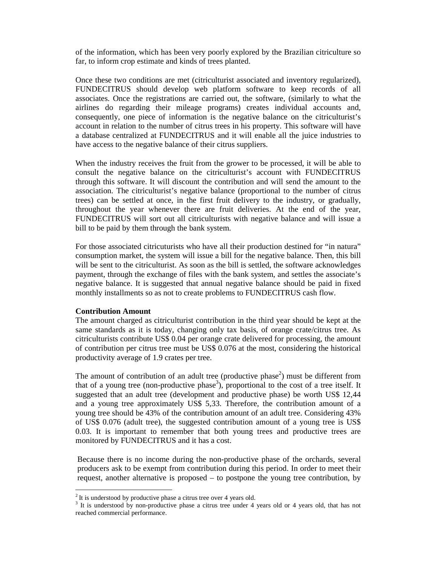of the information, which has been very poorly explored by the Brazilian citriculture so far, to inform crop estimate and kinds of trees planted.

Once these two conditions are met (citriculturist associated and inventory regularized), FUNDECITRUS should develop web platform software to keep records of all associates. Once the registrations are carried out, the software, (similarly to what the airlines do regarding their mileage programs) creates individual accounts and, consequently, one piece of information is the negative balance on the citriculturist's account in relation to the number of citrus trees in his property. This software will have a database centralized at FUNDECITRUS and it will enable all the juice industries to have access to the negative balance of their citrus suppliers.

When the industry receives the fruit from the grower to be processed, it will be able to consult the negative balance on the citriculturist's account with FUNDECITRUS through this software. It will discount the contribution and will send the amount to the association. The citriculturist's negative balance (proportional to the number of citrus trees) can be settled at once, in the first fruit delivery to the industry, or gradually, throughout the year whenever there are fruit deliveries. At the end of the year, FUNDECITRUS will sort out all citriculturists with negative balance and will issue a bill to be paid by them through the bank system.

For those associated citricuturists who have all their production destined for "in natura" consumption market, the system will issue a bill for the negative balance. Then, this bill will be sent to the citriculturist. As soon as the bill is settled, the software acknowledges payment, through the exchange of files with the bank system, and settles the associate's negative balance. It is suggested that annual negative balance should be paid in fixed monthly installments so as not to create problems to FUNDECITRUS cash flow.

#### **Contribution Amount**

The amount charged as citriculturist contribution in the third year should be kept at the same standards as it is today, changing only tax basis, of orange crate/citrus tree. As citriculturists contribute US\$ 0.04 per orange crate delivered for processing, the amount of contribution per citrus tree must be US\$ 0.076 at the most, considering the historical productivity average of 1.9 crates per tree.

The amount of contribution of an adult tree (productive phase<sup>2</sup>) must be different from that of a young tree (non-productive phase<sup>3</sup>), proportional to the cost of a tree itself. It suggested that an adult tree (development and productive phase) be worth US\$ 12,44 and a young tree approximately US\$ 5,33. Therefore, the contribution amount of a young tree should be 43% of the contribution amount of an adult tree. Considering 43% of US\$ 0.076 (adult tree), the suggested contribution amount of a young tree is US\$ 0.03. It is important to remember that both young trees and productive trees are monitored by FUNDECITRUS and it has a cost.

Because there is no income during the non-productive phase of the orchards, several producers ask to be exempt from contribution during this period. In order to meet their request, another alternative is proposed – to postpone the young tree contribution, by

 $2$  It is understood by productive phase a citrus tree over 4 years old.

<sup>&</sup>lt;sup>3</sup> It is understood by non-productive phase a citrus tree under 4 years old or 4 years old, that has not reached commercial performance.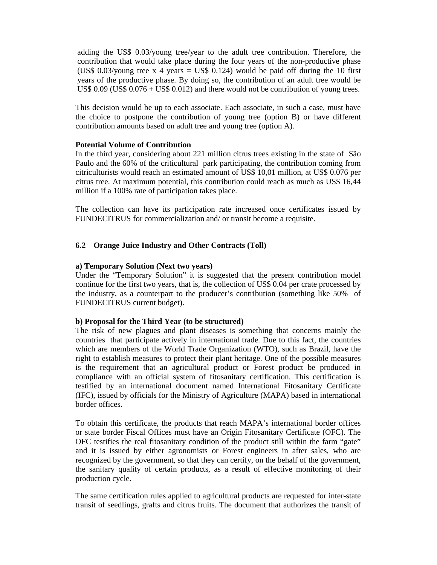adding the US\$ 0.03/young tree/year to the adult tree contribution. Therefore, the contribution that would take place during the four years of the non-productive phase (US\$ 0.03/young tree x 4 years = US\$ 0.124) would be paid off during the 10 first years of the productive phase. By doing so, the contribution of an adult tree would be US\$ 0.09 (US\$ 0.076 + US\$ 0.012) and there would not be contribution of young trees.

This decision would be up to each associate. Each associate, in such a case, must have the choice to postpone the contribution of young tree (option B) or have different contribution amounts based on adult tree and young tree (option A).

## **Potential Volume of Contribution**

In the third year, considering about 221 million citrus trees existing in the state of São Paulo and the 60% of the criticultural park participating, the contribution coming from citriculturists would reach an estimated amount of US\$ 10,01 million, at US\$ 0.076 per citrus tree. At maximum potential, this contribution could reach as much as US\$ 16,44 million if a 100% rate of participation takes place.

The collection can have its participation rate increased once certificates issued by FUNDECITRUS for commercialization and/ or transit become a requisite.

# **6.2 Orange Juice Industry and Other Contracts (Toll)**

## **a) Temporary Solution (Next two years)**

Under the "Temporary Solution" it is suggested that the present contribution model continue for the first two years, that is, the collection of US\$ 0.04 per crate processed by the industry, as a counterpart to the producer's contribution (something like 50% of FUNDECITRUS current budget).

# **b) Proposal for the Third Year (to be structured)**

The risk of new plagues and plant diseases is something that concerns mainly the countries that participate actively in international trade. Due to this fact, the countries which are members of the World Trade Organization (WTO), such as Brazil, have the right to establish measures to protect their plant heritage. One of the possible measures is the requirement that an agricultural product or Forest product be produced in compliance with an official system of fitosanitary certification. This certification is testified by an international document named International Fitosanitary Certificate (IFC), issued by officials for the Ministry of Agriculture (MAPA) based in international border offices.

To obtain this certificate, the products that reach MAPA's international border offices or state border Fiscal Offices must have an Origin Fitosanitary Certificate (OFC). The OFC testifies the real fitosanitary condition of the product still within the farm "gate" and it is issued by either agronomists or Forest engineers in after sales, who are recognized by the government, so that they can certify, on the behalf of the government, the sanitary quality of certain products, as a result of effective monitoring of their production cycle.

The same certification rules applied to agricultural products are requested for inter-state transit of seedlings, grafts and citrus fruits. The document that authorizes the transit of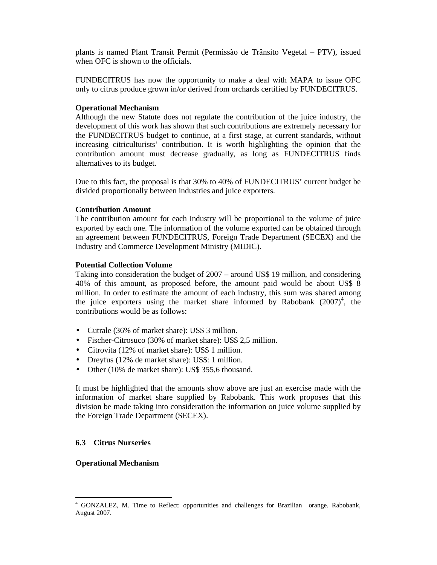plants is named Plant Transit Permit (Permissão de Trânsito Vegetal – PTV), issued when OFC is shown to the officials.

FUNDECITRUS has now the opportunity to make a deal with MAPA to issue OFC only to citrus produce grown in/or derived from orchards certified by FUNDECITRUS.

#### **Operational Mechanism**

Although the new Statute does not regulate the contribution of the juice industry, the development of this work has shown that such contributions are extremely necessary for the FUNDECITRUS budget to continue, at a first stage, at current standards, without increasing citriculturists' contribution. It is worth highlighting the opinion that the contribution amount must decrease gradually, as long as FUNDECITRUS finds alternatives to its budget.

Due to this fact, the proposal is that 30% to 40% of FUNDECITRUS' current budget be divided proportionally between industries and juice exporters.

#### **Contribution Amount**

The contribution amount for each industry will be proportional to the volume of juice exported by each one. The information of the volume exported can be obtained through an agreement between FUNDECITRUS, Foreign Trade Department (SECEX) and the Industry and Commerce Development Ministry (MIDIC).

#### **Potential Collection Volume**

Taking into consideration the budget of 2007 – around US\$ 19 million, and considering 40% of this amount, as proposed before, the amount paid would be about US\$ 8 million. In order to estimate the amount of each industry, this sum was shared among the juice exporters using the market share informed by Rabobank  $(2007)^4$ , the contributions would be as follows:

- Cutrale (36% of market share): US\$ 3 million.
- Fischer-Citrosuco (30% of market share): US\$ 2,5 million.
- Citrovita (12% of market share): US\$ 1 million.
- Dreyfus (12% de market share): US\$: 1 million.
- Other (10% de market share): US\$ 355,6 thousand.

It must be highlighted that the amounts show above are just an exercise made with the information of market share supplied by Rabobank. This work proposes that this division be made taking into consideration the information on juice volume supplied by the Foreign Trade Department (SECEX).

#### **6.3 Citrus Nurseries**

#### **Operational Mechanism**

 $\overline{a}$ 

<sup>4</sup> GONZALEZ, M. Time to Reflect: opportunities and challenges for Brazilian orange. Rabobank, August 2007.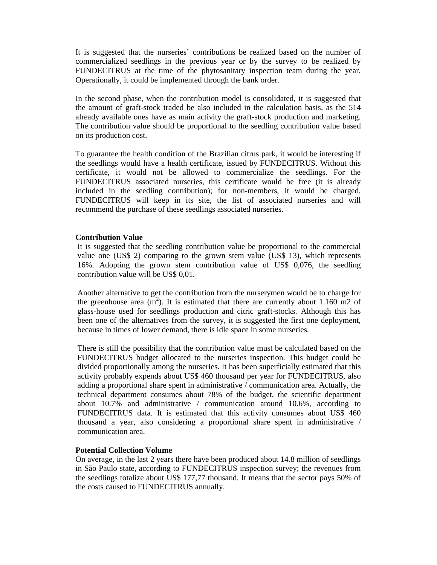It is suggested that the nurseries' contributions be realized based on the number of commercialized seedlings in the previous year or by the survey to be realized by FUNDECITRUS at the time of the phytosanitary inspection team during the year. Operationally, it could be implemented through the bank order.

In the second phase, when the contribution model is consolidated, it is suggested that the amount of graft-stock traded be also included in the calculation basis, as the 514 already available ones have as main activity the graft-stock production and marketing. The contribution value should be proportional to the seedling contribution value based on its production cost.

To guarantee the health condition of the Brazilian citrus park, it would be interesting if the seedlings would have a health certificate, issued by FUNDECITRUS. Without this certificate, it would not be allowed to commercialize the seedlings. For the FUNDECITRUS associated nurseries, this certificate would be free (it is already included in the seedling contribution); for non-members, it would be charged. FUNDECITRUS will keep in its site, the list of associated nurseries and will recommend the purchase of these seedlings associated nurseries.

## **Contribution Value**

It is suggested that the seedling contribution value be proportional to the commercial value one (US\$ 2) comparing to the grown stem value (US\$ 13), which represents 16%. Adopting the grown stem contribution value of US\$ 0,076, the seedling contribution value will be US\$ 0,01.

Another alternative to get the contribution from the nurserymen would be to charge for the greenhouse area  $(m^2)$ . It is estimated that there are currently about 1.160 m2 of glass-house used for seedlings production and citric graft-stocks. Although this has been one of the alternatives from the survey, it is suggested the first one deployment, because in times of lower demand, there is idle space in some nurseries.

There is still the possibility that the contribution value must be calculated based on the FUNDECITRUS budget allocated to the nurseries inspection. This budget could be divided proportionally among the nurseries. It has been superficially estimated that this activity probably expends about US\$ 460 thousand per year for FUNDECITRUS, also adding a proportional share spent in administrative / communication area. Actually, the technical department consumes about 78% of the budget, the scientific department about 10.7% and administrative / communication around 10.6%, according to FUNDECITRUS data. It is estimated that this activity consumes about US\$ 460 thousand a year, also considering a proportional share spent in administrative / communication area.

#### **Potential Collection Volume**

On average, in the last 2 years there have been produced about 14.8 million of seedlings in São Paulo state, according to FUNDECITRUS inspection survey; the revenues from the seedlings totalize about US\$ 177,77 thousand. It means that the sector pays 50% of the costs caused to FUNDECITRUS annually.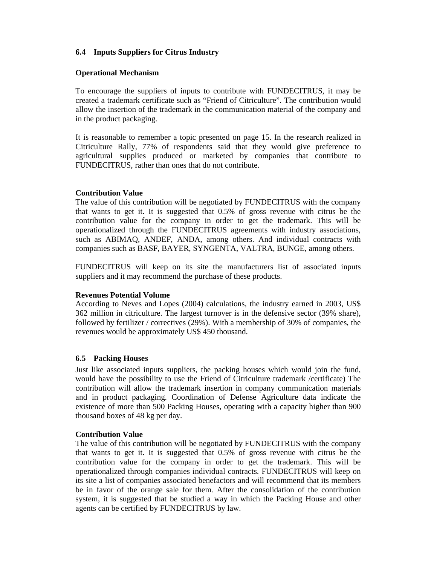## **6.4 Inputs Suppliers for Citrus Industry**

## **Operational Mechanism**

To encourage the suppliers of inputs to contribute with FUNDECITRUS, it may be created a trademark certificate such as "Friend of Citriculture". The contribution would allow the insertion of the trademark in the communication material of the company and in the product packaging.

It is reasonable to remember a topic presented on page 15. In the research realized in Citriculture Rally, 77% of respondents said that they would give preference to agricultural supplies produced or marketed by companies that contribute to FUNDECITRUS, rather than ones that do not contribute.

## **Contribution Value**

The value of this contribution will be negotiated by FUNDECITRUS with the company that wants to get it. It is suggested that 0.5% of gross revenue with citrus be the contribution value for the company in order to get the trademark. This will be operationalized through the FUNDECITRUS agreements with industry associations, such as ABIMAQ, ANDEF, ANDA, among others. And individual contracts with companies such as BASF, BAYER, SYNGENTA, VALTRA, BUNGE, among others.

FUNDECITRUS will keep on its site the manufacturers list of associated inputs suppliers and it may recommend the purchase of these products.

## **Revenues Potential Volume**

According to Neves and Lopes (2004) calculations, the industry earned in 2003, US\$ 362 million in citriculture. The largest turnover is in the defensive sector (39% share), followed by fertilizer / correctives (29%). With a membership of 30% of companies, the revenues would be approximately US\$ 450 thousand.

## **6.5 Packing Houses**

Just like associated inputs suppliers, the packing houses which would join the fund, would have the possibility to use the Friend of Citriculture trademark /certificate) The contribution will allow the trademark insertion in company communication materials and in product packaging. Coordination of Defense Agriculture data indicate the existence of more than 500 Packing Houses, operating with a capacity higher than 900 thousand boxes of 48 kg per day.

#### **Contribution Value**

The value of this contribution will be negotiated by FUNDECITRUS with the company that wants to get it. It is suggested that 0.5% of gross revenue with citrus be the contribution value for the company in order to get the trademark. This will be operationalized through companies individual contracts. FUNDECITRUS will keep on its site a list of companies associated benefactors and will recommend that its members be in favor of the orange sale for them. After the consolidation of the contribution system, it is suggested that be studied a way in which the Packing House and other agents can be certified by FUNDECITRUS by law.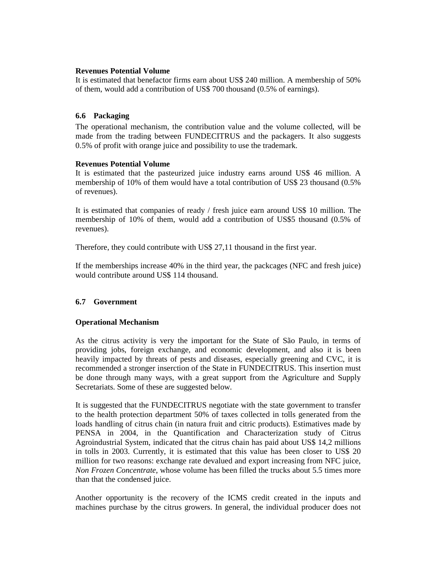## **Revenues Potential Volume**

It is estimated that benefactor firms earn about US\$ 240 million. A membership of 50% of them, would add a contribution of US\$ 700 thousand (0.5% of earnings).

## **6.6 Packaging**

The operational mechanism, the contribution value and the volume collected, will be made from the trading between FUNDECITRUS and the packagers. It also suggests 0.5% of profit with orange juice and possibility to use the trademark.

## **Revenues Potential Volume**

It is estimated that the pasteurized juice industry earns around US\$ 46 million. A membership of 10% of them would have a total contribution of US\$ 23 thousand (0.5% of revenues).

It is estimated that companies of ready / fresh juice earn around US\$ 10 million. The membership of 10% of them, would add a contribution of US\$5 thousand (0.5% of revenues).

Therefore, they could contribute with US\$ 27,11 thousand in the first year.

If the memberships increase 40% in the third year, the packcages (NFC and fresh juice) would contribute around US\$ 114 thousand.

# **6.7 Government**

## **Operational Mechanism**

As the citrus activity is very the important for the State of São Paulo, in terms of providing jobs, foreign exchange, and economic development, and also it is been heavily impacted by threats of pests and diseases, especially greening and CVC, it is recommended a stronger inserction of the State in FUNDECITRUS. This insertion must be done through many ways, with a great support from the Agriculture and Supply Secretariats. Some of these are suggested below.

It is suggested that the FUNDECITRUS negotiate with the state government to transfer to the health protection department 50% of taxes collected in tolls generated from the loads handling of citrus chain (in natura fruit and citric products). Estimatives made by PENSA in 2004, in the Quantification and Characterization study of Citrus Agroindustrial System, indicated that the citrus chain has paid about US\$ 14,2 millions in tolls in 2003. Currently, it is estimated that this value has been closer to US\$ 20 million for two reasons: exchange rate devalued and export increasing from NFC juice, *Non Frozen Concentrate*, whose volume has been filled the trucks about 5.5 times more than that the condensed juice.

Another opportunity is the recovery of the ICMS credit created in the inputs and machines purchase by the citrus growers. In general, the individual producer does not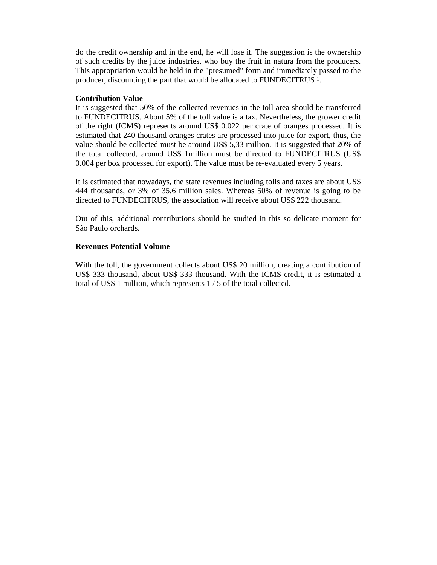do the credit ownership and in the end, he will lose it. The suggestion is the ownership of such credits by the juice industries, who buy the fruit in natura from the producers. This appropriation would be held in the "presumed" form and immediately passed to the producer, discounting the part that would be allocated to FUNDECITRUS<sup>1</sup>.

## **Contribution Value**

It is suggested that 50% of the collected revenues in the toll area should be transferred to FUNDECITRUS. About 5% of the toll value is a tax. Nevertheless, the grower credit of the right (ICMS) represents around US\$ 0.022 per crate of oranges processed. It is estimated that 240 thousand oranges crates are processed into juice for export, thus, the value should be collected must be around US\$ 5,33 million. It is suggested that 20% of the total collected, around US\$ 1million must be directed to FUNDECITRUS (US\$ 0.004 per box processed for export). The value must be re-evaluated every 5 years.

It is estimated that nowadays, the state revenues including tolls and taxes are about US\$ 444 thousands, or 3% of 35.6 million sales. Whereas 50% of revenue is going to be directed to FUNDECITRUS, the association will receive about US\$ 222 thousand.

Out of this, additional contributions should be studied in this so delicate moment for São Paulo orchards.

## **Revenues Potential Volume**

With the toll, the government collects about US\$ 20 million, creating a contribution of US\$ 333 thousand, about US\$ 333 thousand. With the ICMS credit, it is estimated a total of US\$ 1 million, which represents 1 / 5 of the total collected.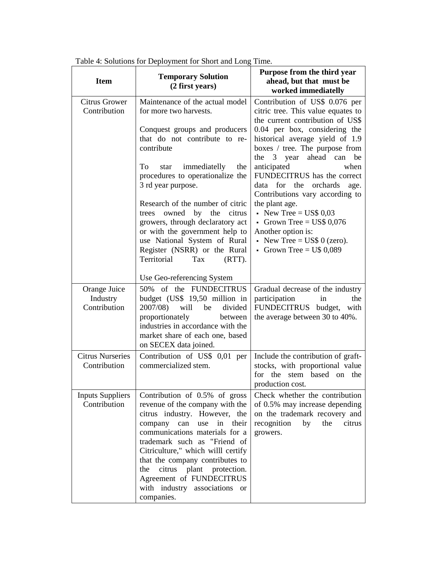| <b>Item</b>                              | <b>Temporary Solution</b><br>(2 first years)                                                                                                                                                                                                                                                                                                                                                                        | Purpose from the third year<br>ahead, but that must be<br>worked immediatelly                                                                                |  |  |  |
|------------------------------------------|---------------------------------------------------------------------------------------------------------------------------------------------------------------------------------------------------------------------------------------------------------------------------------------------------------------------------------------------------------------------------------------------------------------------|--------------------------------------------------------------------------------------------------------------------------------------------------------------|--|--|--|
| <b>Citrus Grower</b><br>Contribution     | Maintenance of the actual model<br>for more two harvests.                                                                                                                                                                                                                                                                                                                                                           | Contribution of US\$ 0.076 per<br>citric tree. This value equates to<br>the current contribution of US\$                                                     |  |  |  |
|                                          | Conquest groups and producers<br>that do not contribute to re-<br>contribute                                                                                                                                                                                                                                                                                                                                        | 0.04 per box, considering the<br>historical average yield of 1.9<br>boxes / tree. The purpose from                                                           |  |  |  |
|                                          | immediatelly<br>the<br>To<br>star<br>procedures to operationalize the<br>3 rd year purpose.                                                                                                                                                                                                                                                                                                                         | ahead can<br>the 3 year<br>be<br>anticipated<br>when<br>FUNDECITRUS has the correct<br>data for the orchards<br>age.<br>Contributions vary according to      |  |  |  |
|                                          | Research of the number of citric<br>by the<br>owned<br>citrus<br>trees<br>growers, through declaratory act<br>or with the government help to<br>use National System of Rural<br>Register (NSRR) or the Rural<br>Territorial<br>Tax<br>$(RTT)$ .                                                                                                                                                                     | the plant age.<br>• New Tree = US\$ $0.03$<br>Grown Tree = $\text{US}\$0,076$<br>Another option is:<br>• New Tree = US\$ 0 (zero).<br>Grown Tree = $U$0,089$ |  |  |  |
|                                          | Use Geo-referencing System                                                                                                                                                                                                                                                                                                                                                                                          |                                                                                                                                                              |  |  |  |
| Orange Juice<br>Industry<br>Contribution | of the FUNDECITRUS<br>50%<br>budget (US\$ 19,50 million in<br>2007/08)<br>will<br>be<br>divided<br>proportionately<br>between<br>industries in accordance with the<br>market share of each one, based<br>on SECEX data joined.                                                                                                                                                                                      | Gradual decrease of the industry<br>participation<br>the<br>in<br>FUNDECITRUS budget,<br>with<br>the average between 30 to 40%.                              |  |  |  |
| <b>Citrus Nurseries</b><br>Contribution  | Contribution of US\$ 0,01 per<br>commercialized stem.                                                                                                                                                                                                                                                                                                                                                               | Include the contribution of graft-<br>stocks, with proportional value<br>for the stem based on<br>the<br>production cost.                                    |  |  |  |
| <b>Inputs Suppliers</b><br>Contribution  | Contribution of 0.5% of gross<br>revenue of the company with the<br>citrus industry. However, the<br>in<br>their<br>company<br>can<br>use<br>communications materials for a<br>trademark such as "Friend of<br>Citriculture," which willl certify<br>that the company contributes to<br>plant protection.<br>citrus<br>the<br>Agreement of FUNDECITRUS<br>with industry associations<br><sub>or</sub><br>companies. | Check whether the contribution<br>of 0.5% may increase depending<br>on the trademark recovery and<br>recognition<br>by<br>the<br>citrus<br>growers.          |  |  |  |

Table 4: Solutions for Deployment for Short and Long Time.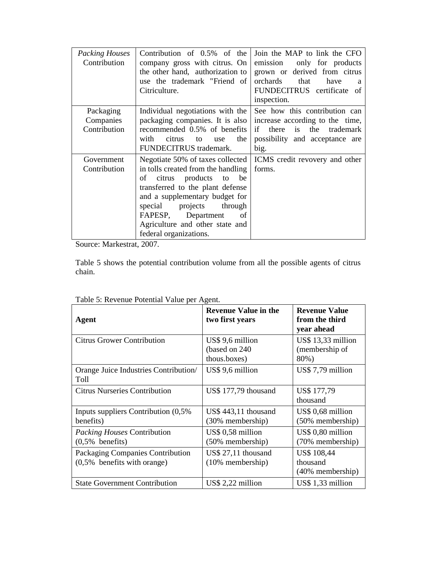| <b>Packing Houses</b><br>Contribution | Contribution of $0.5\%$ of the<br>company gross with citrus. On<br>the other hand, authorization to<br>use the trademark "Friend of<br>Citriculture. | Join the MAP to link the CFO<br>only for products<br>emission<br>grown or derived from citrus<br>orchards<br>that<br>have<br>a<br>FUNDECITRUS certificate of<br>inspection. |
|---------------------------------------|------------------------------------------------------------------------------------------------------------------------------------------------------|-----------------------------------------------------------------------------------------------------------------------------------------------------------------------------|
| Packaging<br>Companies                | Individual negotiations with the<br>packaging companies. It is also                                                                                  | See how this contribution can<br>increase according to the time,                                                                                                            |
| Contribution                          | recommended 0.5% of benefits                                                                                                                         | is the<br>if<br>there<br>trademark                                                                                                                                          |
|                                       | with<br>citrus<br>the<br>to<br>use<br>FUNDECITRUS trademark.                                                                                         | possibility and acceptance are<br>big.                                                                                                                                      |
| Government                            | Negotiate 50% of taxes collected                                                                                                                     | ICMS credit revovery and other                                                                                                                                              |
| Contribution                          | in tolls created from the handling                                                                                                                   | forms.                                                                                                                                                                      |
|                                       | of citrus products<br>to<br>be<br>transferred to the plant defense                                                                                   |                                                                                                                                                                             |
|                                       | and a supplementary budget for                                                                                                                       |                                                                                                                                                                             |
|                                       | projects<br>through<br>special                                                                                                                       |                                                                                                                                                                             |
|                                       | FAPESP, Department<br>of                                                                                                                             |                                                                                                                                                                             |
|                                       | Agriculture and other state and<br>federal organizations.                                                                                            |                                                                                                                                                                             |

Source: Markestrat, 2007.

Table 5 shows the potential contribution volume from all the possible agents of citrus chain.

| racio si reconavi cientiam value per rigenti                       |                                                    |                                                       |  |  |  |  |  |
|--------------------------------------------------------------------|----------------------------------------------------|-------------------------------------------------------|--|--|--|--|--|
| Agent                                                              | <b>Revenue Value in the</b><br>two first years     | <b>Revenue Value</b><br>from the third<br>year ahead  |  |  |  |  |  |
| <b>Citrus Grower Contribution</b>                                  | US\$ 9,6 million<br>(based on 240)<br>thous.boxes) | US\$ 13,33 million<br>(membership of<br>80%)          |  |  |  |  |  |
| Orange Juice Industries Contribution/<br>Toll                      | US\$ 9,6 million                                   | $US$7,79$ million                                     |  |  |  |  |  |
| <b>Citrus Nurseries Contribution</b>                               | US\$ 177,79 thousand                               | US\$ 177,79<br>thousand                               |  |  |  |  |  |
| Inputs suppliers Contribution (0,5%)<br>benefits)                  | US\$ 443,11 thousand<br>(30% membership)           | US\$ 0,68 million<br>(50% membership)                 |  |  |  |  |  |
| <i>Packing Houses</i> Contribution<br>$(0,5%$ benefits)            | US\$ 0,58 million<br>(50% membership)              | US\$ 0,80 million<br>(70% membership)                 |  |  |  |  |  |
| Packaging Companies Contribution<br>$(0,5\%$ benefits with orange) | US\$ 27,11 thousand<br>$(10\%$ membership)         | <b>US\$</b> 108,44<br>thousand<br>$(40\%$ membership) |  |  |  |  |  |
| <b>State Government Contribution</b>                               | $US$ 2,22$ million                                 | US\$ 1,33 million                                     |  |  |  |  |  |

| Table 5: Revenue Potential Value per Agent. |  |
|---------------------------------------------|--|
|---------------------------------------------|--|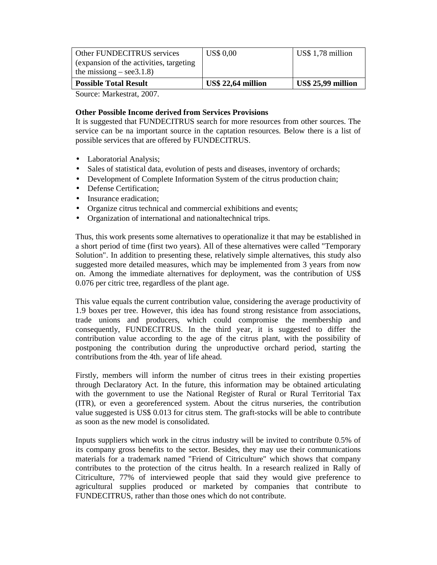| Other FUNDECITRUS services               | <b>US\$ 0.00</b>          | US\$ 1,78 million         |
|------------------------------------------|---------------------------|---------------------------|
| (expansion of the activities, targeting) |                           |                           |
| the missiong $-$ see 3.1.8)              |                           |                           |
| <b>Possible Total Result</b>             | <b>US\$ 22,64 million</b> | <b>US\$ 25,99 million</b> |

Source: Markestrat, 2007.

## **Other Possible Income derived from Services Provisions**

It is suggested that FUNDECITRUS search for more resources from other sources. The service can be na important source in the captation resources. Below there is a list of possible services that are offered by FUNDECITRUS.

- Laboratorial Analysis;
- Sales of statistical data, evolution of pests and diseases, inventory of orchards;
- Development of Complete Information System of the citrus production chain;
- Defense Certification;
- Insurance eradication:
- Organize citrus technical and commercial exhibitions and events;
- Organization of international and nationaltechnical trips.

Thus, this work presents some alternatives to operationalize it that may be established in a short period of time (first two years). All of these alternatives were called "Temporary Solution". In addition to presenting these, relatively simple alternatives, this study also suggested more detailed measures, which may be implemented from 3 years from now on. Among the immediate alternatives for deployment, was the contribution of US\$ 0.076 per citric tree, regardless of the plant age.

This value equals the current contribution value, considering the average productivity of 1.9 boxes per tree. However, this idea has found strong resistance from associations, trade unions and producers, which could compromise the membership and consequently, FUNDECITRUS. In the third year, it is suggested to differ the contribution value according to the age of the citrus plant, with the possibility of postponing the contribution during the unproductive orchard period, starting the contributions from the 4th. year of life ahead.

Firstly, members will inform the number of citrus trees in their existing properties through Declaratory Act. In the future, this information may be obtained articulating with the government to use the National Register of Rural or Rural Territorial Tax (ITR), or even a georeferenced system. About the citrus nurseries, the contribution value suggested is US\$ 0.013 for citrus stem. The graft-stocks will be able to contribute as soon as the new model is consolidated.

Inputs suppliers which work in the citrus industry will be invited to contribute 0.5% of its company gross benefits to the sector. Besides, they may use their communications materials for a trademark named "Friend of Citriculture" which shows that company contributes to the protection of the citrus health. In a research realized in Rally of Citriculture, 77% of interviewed people that said they would give preference to agricultural supplies produced or marketed by companies that contribute to FUNDECITRUS, rather than those ones which do not contribute.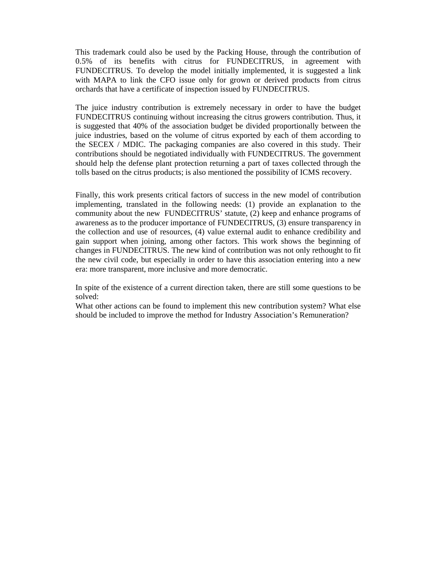This trademark could also be used by the Packing House, through the contribution of 0.5% of its benefits with citrus for FUNDECITRUS, in agreement with FUNDECITRUS. To develop the model initially implemented, it is suggested a link with MAPA to link the CFO issue only for grown or derived products from citrus orchards that have a certificate of inspection issued by FUNDECITRUS.

The juice industry contribution is extremely necessary in order to have the budget FUNDECITRUS continuing without increasing the citrus growers contribution. Thus, it is suggested that 40% of the association budget be divided proportionally between the juice industries, based on the volume of citrus exported by each of them according to the SECEX / MDIC. The packaging companies are also covered in this study. Their contributions should be negotiated individually with FUNDECITRUS. The government should help the defense plant protection returning a part of taxes collected through the tolls based on the citrus products; is also mentioned the possibility of ICMS recovery.

Finally, this work presents critical factors of success in the new model of contribution implementing, translated in the following needs: (1) provide an explanation to the community about the new FUNDECITRUS' statute, (2) keep and enhance programs of awareness as to the producer importance of FUNDECITRUS, (3) ensure transparency in the collection and use of resources, (4) value external audit to enhance credibility and gain support when joining, among other factors. This work shows the beginning of changes in FUNDECITRUS. The new kind of contribution was not only rethought to fit the new civil code, but especially in order to have this association entering into a new era: more transparent, more inclusive and more democratic.

In spite of the existence of a current direction taken, there are still some questions to be solved:

What other actions can be found to implement this new contribution system? What else should be included to improve the method for Industry Association's Remuneration?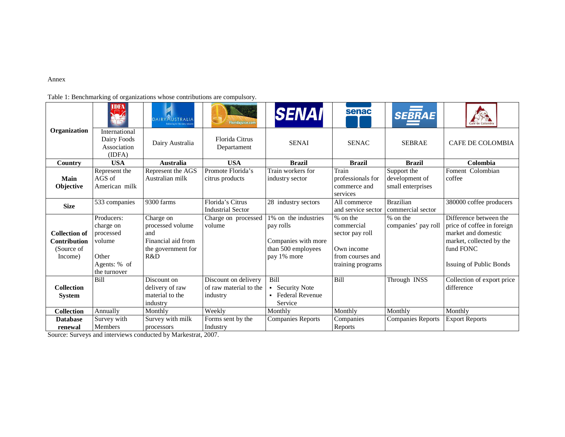#### Annex

Table 1: Benchmarking of organizations whose contributions are compulsory.

|                                                                      | <b>IDFA</b>                                                                             | DAIRYAUSTRALIA<br>belivering for the dairy indust                                       | <b>Floridajuice.com</b>                                    | <b>SENAI</b>                                                                                  | senac                                                                                              | <b>SEBRAE</b>                                      |                                                                                                                                                        |
|----------------------------------------------------------------------|-----------------------------------------------------------------------------------------|-----------------------------------------------------------------------------------------|------------------------------------------------------------|-----------------------------------------------------------------------------------------------|----------------------------------------------------------------------------------------------------|----------------------------------------------------|--------------------------------------------------------------------------------------------------------------------------------------------------------|
| Organization                                                         | International<br>Dairy Foods<br>Association<br>(IDFA)                                   | Dairy Australia                                                                         | Florida Citrus<br>Departament                              | <b>SENAI</b>                                                                                  | <b>SENAC</b>                                                                                       | <b>SEBRAE</b>                                      | <b>CAFE DE COLOMBIA</b>                                                                                                                                |
| Country                                                              | <b>USA</b>                                                                              | <b>Australia</b>                                                                        | <b>USA</b>                                                 | <b>Brazil</b>                                                                                 | <b>Brazil</b>                                                                                      | <b>Brazil</b>                                      | Colombia                                                                                                                                               |
| Main<br>Objective                                                    | Represent the<br>AGS of<br>American milk                                                | Represent the AGS<br>Australian milk                                                    | Promote Florida's<br>citrus products                       | Train workers for<br>industry sector                                                          | Train<br>professionals for<br>commerce and<br>services                                             | Support the<br>development of<br>small enterprises | Foment Colombian<br>coffee                                                                                                                             |
| <b>Size</b>                                                          | 533 companies                                                                           | 9300 farms                                                                              | Florida's Citrus<br><b>Industrial Sector</b>               | 28 industry sectors                                                                           | All commerce<br>and service sector                                                                 | <b>Brazilian</b><br>commercial sector              | 380000 coffee producers                                                                                                                                |
| <b>Collection of</b><br><b>Contribution</b><br>(Source of<br>Income) | Producers:<br>charge on<br>processed<br>volume<br>Other<br>Agents: % of<br>the turnover | Charge on<br>processed volume<br>and<br>Financial aid from<br>the government for<br>R&D | Charge on processed<br>volume                              | 1% on the industries<br>pay rolls<br>Companies with more<br>than 500 employees<br>pay 1% more | $%$ on the<br>commercial<br>sector pay roll<br>Own income<br>from courses and<br>training programs | % on the<br>companies' pay roll                    | Difference between the<br>price of coffee in foreign<br>market and domestic<br>market, collected by the<br>fund FONC<br><b>Issuing of Public Bonds</b> |
| <b>Collection</b><br><b>System</b>                                   | Bill                                                                                    | Discount on<br>delivery of raw<br>material to the<br>industry                           | Discount on delivery<br>of raw material to the<br>industry | <b>Bill</b><br><b>Security Note</b><br><b>Federal Revenue</b><br>Service                      | <b>Bill</b>                                                                                        | Through INSS                                       | Collection of export price<br>difference                                                                                                               |
| <b>Collection</b>                                                    | Annually                                                                                | Monthly                                                                                 | Weekly                                                     | Monthly                                                                                       | Monthly                                                                                            | Monthly                                            | Monthly                                                                                                                                                |
| <b>Database</b><br>renewal                                           | Survey with<br><b>Members</b>                                                           | Survey with milk<br>processors                                                          | Forms sent by the<br>Industry                              | <b>Companies Reports</b>                                                                      | Companies<br>Reports                                                                               | <b>Companies Reports</b>                           | <b>Export Reports</b>                                                                                                                                  |

**Processors Exercise I** Industrial Industrial Industrial Industrial Source: Surveys and interviews conducted by Markestrat, 2007.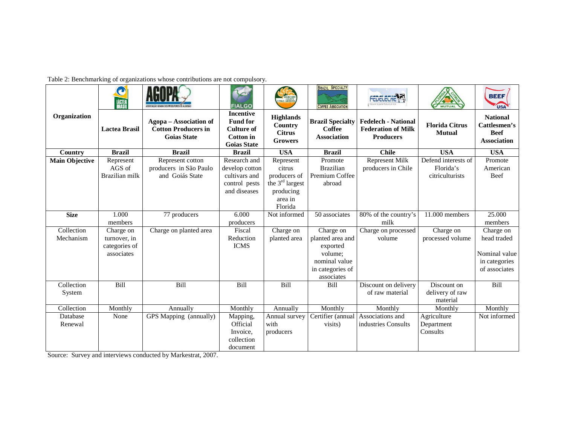Table 2: Benchmarking of organizations whose contributions are not compulsory.

|                       | $\mathbf{O}$<br><b>LÁCTEA</b> |                                                                            | <b>FIALGO</b>                                                                                      | <b>ENGHLAND</b>                                                | <b>BRAZIL SPECIALTY</b><br><b>COFFEE ASSOCIATION</b>    | <b>FEDELECHE</b>                                                            | <b>MUTUAL</b>                          | <b>BEEF</b><br><b>USA</b>                                            |
|-----------------------|-------------------------------|----------------------------------------------------------------------------|----------------------------------------------------------------------------------------------------|----------------------------------------------------------------|---------------------------------------------------------|-----------------------------------------------------------------------------|----------------------------------------|----------------------------------------------------------------------|
| Organization          | <b>Lactea Brasil</b>          | Agopa – Association of<br><b>Cotton Producers in</b><br><b>Goias State</b> | <b>Incentive</b><br><b>Fund for</b><br><b>Culture of</b><br><b>Cotton</b> in<br><b>Goias State</b> | <b>Highlands</b><br>Country<br><b>Citrus</b><br><b>Growers</b> | <b>Brazil Specialty</b><br>Coffee<br><b>Association</b> | <b>Fedelech - National</b><br><b>Federation of Milk</b><br><b>Producers</b> | <b>Florida Citrus</b><br><b>Mutual</b> | <b>National</b><br>Cattlesmen's<br><b>Beef</b><br><b>Association</b> |
| <b>Country</b>        | <b>Brazil</b>                 | <b>Brazil</b>                                                              | <b>Brazil</b>                                                                                      | <b>USA</b>                                                     | <b>Brazil</b>                                           | <b>Chile</b>                                                                | <b>USA</b>                             | <b>USA</b>                                                           |
| <b>Main Objective</b> | Represent                     | Represent cotton                                                           | Research and                                                                                       | Represent                                                      | Promote                                                 | <b>Represent Milk</b>                                                       | Defend interests of                    | Promote                                                              |
|                       | $AGS$ of                      | producers in São Paulo                                                     | develop cotton                                                                                     | citrus                                                         | <b>Brazilian</b>                                        | producers in Chile                                                          | Florida's                              | American                                                             |
|                       | Brazilian milk                | and Goiás State                                                            | cultivars and                                                                                      | producers of                                                   | Premium Coffee                                          |                                                                             | citriculturists                        | Beef                                                                 |
|                       |                               |                                                                            | control pests                                                                                      | the 3 <sup>rd</sup> largest                                    | abroad                                                  |                                                                             |                                        |                                                                      |
|                       |                               |                                                                            | and diseases                                                                                       | producing                                                      |                                                         |                                                                             |                                        |                                                                      |
|                       |                               |                                                                            |                                                                                                    | area in<br>Florida                                             |                                                         |                                                                             |                                        |                                                                      |
| <b>Size</b>           | 1.000                         | 77 producers                                                               | 6.000                                                                                              | Not informed                                                   | 50 associates                                           | $\frac{1}{80\%}$ of the country's                                           | 11.000 members                         | 25.000                                                               |
|                       | members                       |                                                                            | producers                                                                                          |                                                                |                                                         | milk                                                                        |                                        | members                                                              |
| Collection            | Charge on                     | Charge on planted area                                                     | Fiscal                                                                                             | Charge on                                                      | Charge on                                               | Charge on processed                                                         | Charge on                              | Charge on                                                            |
| Mechanism             | turnover, in                  |                                                                            | Reduction                                                                                          | planted area                                                   | planted area and                                        | volume                                                                      | processed volume                       | head traded                                                          |
|                       | categories of                 |                                                                            | <b>ICMS</b>                                                                                        |                                                                | exported                                                |                                                                             |                                        |                                                                      |
|                       | associates                    |                                                                            |                                                                                                    |                                                                | volume:                                                 |                                                                             |                                        | Nominal value                                                        |
|                       |                               |                                                                            |                                                                                                    |                                                                | nominal value                                           |                                                                             |                                        | in categories                                                        |
|                       |                               |                                                                            |                                                                                                    |                                                                | in categories of                                        |                                                                             |                                        | of associates                                                        |
|                       |                               |                                                                            |                                                                                                    |                                                                | associates                                              |                                                                             |                                        |                                                                      |
| Collection            | <b>Bill</b>                   | <b>Bill</b>                                                                | <b>Bill</b>                                                                                        | Bill                                                           | <b>Bill</b>                                             | Discount on delivery                                                        | Discount on                            | <b>Bill</b>                                                          |
| System                |                               |                                                                            |                                                                                                    |                                                                |                                                         | of raw material                                                             | delivery of raw                        |                                                                      |
|                       |                               |                                                                            |                                                                                                    |                                                                |                                                         |                                                                             | material                               |                                                                      |
| Collection            | Monthly                       | Annually                                                                   | Monthly                                                                                            | Annually                                                       | Monthly                                                 | Monthly                                                                     | Monthly                                | Monthly                                                              |
| Database              | None                          | <b>GPS</b> Mapping (annually)                                              | Mapping,                                                                                           | Annual survey                                                  | Certifier (annual                                       | Associations and                                                            | Agriculture                            | Not informed                                                         |
| Renewal               |                               |                                                                            | Official                                                                                           | with                                                           | visits)                                                 | industries Consults                                                         | Department                             |                                                                      |
|                       |                               |                                                                            | Invoice.                                                                                           | producers                                                      |                                                         |                                                                             | Consults                               |                                                                      |
|                       |                               |                                                                            | collection                                                                                         |                                                                |                                                         |                                                                             |                                        |                                                                      |
|                       |                               |                                                                            | document                                                                                           |                                                                |                                                         |                                                                             |                                        |                                                                      |

Source: Survey and interviews conducted by Markestrat, 2007.